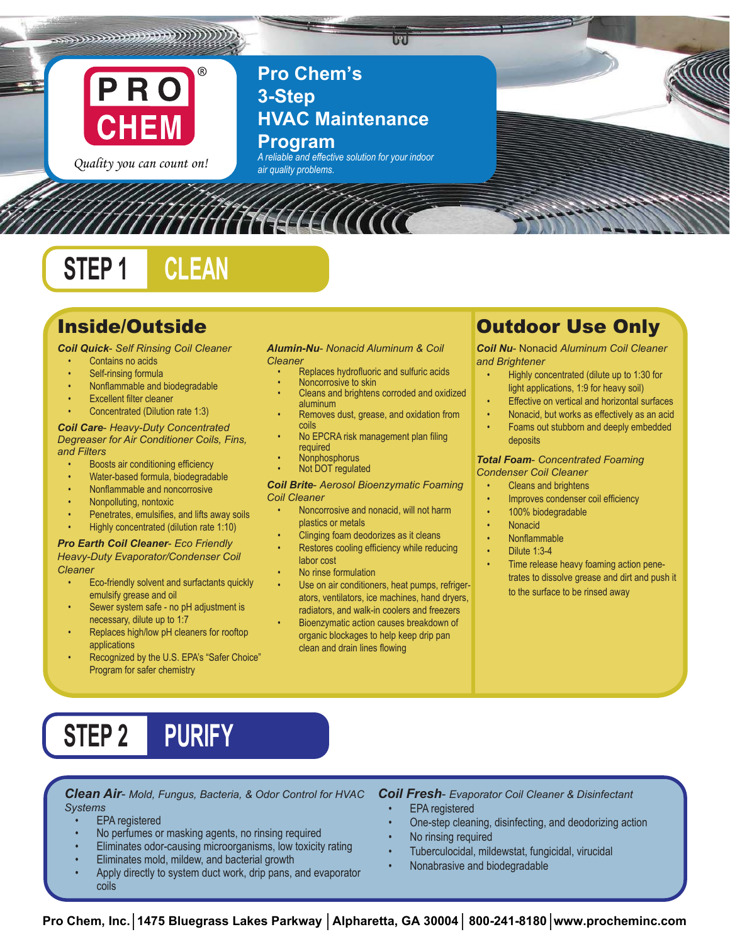

 $\mathcal{L}(\mathcal{C}_1)$ 

Quality you can count on!

**Pro Chem's 3-Step HVAC Maintenance Program**

**F211** 

*A reliable and effective solution for your indoor air quality problems.*

# **STEP 1 CLEAN**

## Inside/Outside

### *Coil Quick*- *Self Rinsing Coil Cleaner*

- Contains no acids
- Self-rinsing formula
- Nonflammable and biodegradable
- **Excellent filter cleaner**
- Concentrated (Dilution rate 1:3)

#### *Coil Care*- *Heavy-Duty Concentrated Degreaser for Air Conditioner Coils, Fins, and Filters*

- Boosts air conditioning efficiency
- Water-based formula, biodegradable
- Nonflammable and noncorrosive
- Nonpolluting, nontoxic
- Penetrates, emulsifies, and lifts away soils
- Highly concentrated (dilution rate 1:10)

## *Pro Earth Coil Cleaner*- *Eco Friendly*

## *Heavy-Duty Evaporator/Condenser Coil Cleaner*

- Eco-friendly solvent and surfactants quickly emulsify grease and oil
- Sewer system safe no pH adjustment is necessary, dilute up to 1:7
- Replaces high/low pH cleaners for rooftop applications
- Recognized by the U.S. EPA's "Safer Choice" Program for safer chemistry

## *Alumin-Nu*- *Nonacid Aluminum & Coil Cleaner*

- Replaces hydrofluoric and sulfuric acids
- Noncorrosive to skin
- Cleans and brightens corroded and oxidized aluminum
- Removes dust, grease, and oxidation from coils
- No EPCRA risk management plan filing required
- Nonphosphorus
- Not DOT regulated

## *Coil Brite*- *Aerosol Bioenzymatic Foaming Coil Cleaner*

- Noncorrosive and nonacid, will not harm plastics or metals
- Clinging foam deodorizes as it cleans
- Restores cooling efficiency while reducing labor cost
- No rinse formulation
- Use on air conditioners, heat pumps, refrigerators, ventilators, ice machines, hand dryers, radiators, and walk-in coolers and freezers
- Bioenzymatic action causes breakdown of organic blockages to help keep drip pan clean and drain lines flowing

## Outdoor Use Only

*Coil Nu*- Nonacid *Aluminum Coil Cleaner and Brightener*

- Highly concentrated (dilute up to 1:30 for light applications, 1:9 for heavy soil)
- Effective on vertical and horizontal surfaces
- Nonacid, but works as effectively as an acid
- Foams out stubborn and deeply embedded deposits

## *Total Foam*- *Concentrated Foaming Condenser Coil Cleaner*

- Cleans and brightens
- Improves condenser coil efficiency
- 100% biodegradable
- Nonacid
- Nonflammable
- Dilute 1:3-4
- Time release heavy foaming action penetrates to dissolve grease and dirt and push it to the surface to be rinsed away

# **STEP 2 PURIFY**

*Clean Air*- *Mold, Fungus, Bacteria, & Odor Control for HVAC Systems*

- EPA registered
- No perfumes or masking agents, no rinsing required
- Eliminates odor-causing microorganisms, low toxicity rating
- Eliminates mold, mildew, and bacterial growth
- Apply directly to system duct work, drip pans, and evaporator coils

*Coil Fresh*- *Evaporator Coil Cleaner & Disinfectant*

- **EPA** registered
- One-step cleaning, disinfecting, and deodorizing action
- No rinsing required
- Tuberculocidal, mildewstat, fungicidal, virucidal
- Nonabrasive and biodegradable

Pro Chem, Inc. 1475 Bluegrass Lakes Parkway | Alpharetta, GA 30004 | 800-241-8180 www.procheminc.com